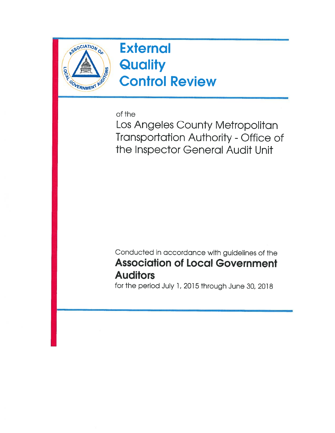

**External Quality** Control Review

of the

Los Angeles County Metropolitan Transportation Authority - Office of the Inspector General Audit Unit

Conducted in accordance with guidelines of the Association of Local Government **Auditors** 

for the period July 1, 2015 through June 30, 2018